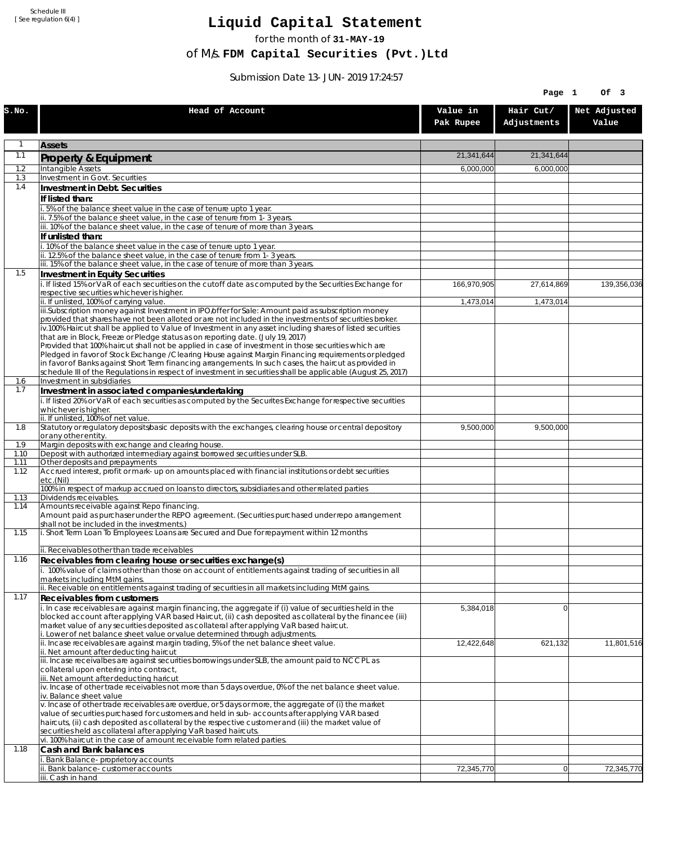Schedule III [ See regulation 6(4) ]

## **Liquid Capital Statement**

for the month of **31-MAY-19**

of M/s. **FDM Capital Securities (Pvt.)Ltd**

Submission Date 13-JUN-2019 17:24:57

|              |                                                                                                                                                                                                                        |                       | Page 1                   | Of 3                  |
|--------------|------------------------------------------------------------------------------------------------------------------------------------------------------------------------------------------------------------------------|-----------------------|--------------------------|-----------------------|
| S.NO.        | Head of Account                                                                                                                                                                                                        | Value in<br>Pak Rupee | Hair Cut/<br>Adjustments | Net Adjusted<br>Value |
| 1            | <b>Assets</b>                                                                                                                                                                                                          |                       |                          |                       |
| 1.1          | Property & Equipment                                                                                                                                                                                                   | 21,341,644            | 21,341,644               |                       |
| 1.2          | Intangible Assets                                                                                                                                                                                                      | 6,000,000             | 6,000,000                |                       |
| 1.3<br>1.4   | Investment in Govt. Securities<br>Investment in Debt. Securities                                                                                                                                                       |                       |                          |                       |
|              | If listed than:                                                                                                                                                                                                        |                       |                          |                       |
|              | i. 5% of the balance sheet value in the case of tenure upto 1 year.                                                                                                                                                    |                       |                          |                       |
|              | ii. 7.5% of the balance sheet value, in the case of tenure from 1-3 years.                                                                                                                                             |                       |                          |                       |
|              | iii. 10% of the balance sheet value, in the case of tenure of more than 3 years.<br>If unlisted than:                                                                                                                  |                       |                          |                       |
|              | i. 10% of the balance sheet value in the case of tenure upto 1 year.                                                                                                                                                   |                       |                          |                       |
|              | ii. 12.5% of the balance sheet value, in the case of tenure from 1-3 years.                                                                                                                                            |                       |                          |                       |
| 1.5          | iii. 15% of the balance sheet value, in the case of tenure of more than 3 years.<br>Investment in Equity Securities                                                                                                    |                       |                          |                       |
|              | i. If listed 15% or VaR of each securities on the cutoff date as computed by the Securities Exchange for                                                                                                               | 166,970,905           | 27,614,869               | 139,356,036           |
|              | respective securities whichever is higher.                                                                                                                                                                             |                       |                          |                       |
|              | ii. If unlisted, 100% of carrying value.<br>iii.Subscription money against Investment in IPO/offer for Sale: Amount paid as subscription money                                                                         | 1,473,014             | 1,473,014                |                       |
|              | provided that shares have not been alloted or are not included in the investments of securities broker.                                                                                                                |                       |                          |                       |
|              | iv.100% Haircut shall be applied to Value of Investment in any asset including shares of listed securities                                                                                                             |                       |                          |                       |
|              | that are in Block, Freeze or Pledge status as on reporting date. (July 19, 2017)<br>Provided that 100% haircut shall not be applied in case of investment in those securities which are                                |                       |                          |                       |
|              | Pledged in favor of Stock Exchange / Clearing House against Margin Financing requirements or pledged                                                                                                                   |                       |                          |                       |
|              | in favor of Banks against Short Term financing arrangements. In such cases, the haircut as provided in<br>schedule III of the Regulations in respect of investment in securities shall be applicable (August 25, 2017) |                       |                          |                       |
| 1.6          | Investment in subsidiaries                                                                                                                                                                                             |                       |                          |                       |
| 1.7          | Investment in associated companies/undertaking                                                                                                                                                                         |                       |                          |                       |
|              | i. If listed 20% or VaR of each securities as computed by the Securites Exchange for respective securities<br>whichever is higher.                                                                                     |                       |                          |                       |
|              | ii. If unlisted, 100% of net value.                                                                                                                                                                                    |                       |                          |                       |
| 1.8          | Statutory or regulatory deposits/basic deposits with the exchanges, clearing house or central depository                                                                                                               | 9,500,000             | 9,500,000                |                       |
| 1.9          | or any other entity.<br>Margin deposits with exchange and clearing house.                                                                                                                                              |                       |                          |                       |
| 1.10         | Deposit with authorized intermediary against borrowed securities under SLB.                                                                                                                                            |                       |                          |                       |
| 1.11<br>1.12 | Other deposits and prepayments<br>Accrued interest, profit or mark-up on amounts placed with financial institutions or debt securities                                                                                 |                       |                          |                       |
|              | etc.(Nil)                                                                                                                                                                                                              |                       |                          |                       |
| 1.13         | 100% in respect of markup accrued on loans to directors, subsidiaries and other related parties<br>Dividends receivables.                                                                                              |                       |                          |                       |
| 1.14         | Amounts receivable against Repo financing.                                                                                                                                                                             |                       |                          |                       |
|              | Amount paid as purchaser under the REPO agreement. (Securities purchased under repo arrangement<br>shall not be included in the investments.)                                                                          |                       |                          |                       |
| 1.15         | i. Short Term Loan To Employees: Loans are Secured and Due for repayment within 12 months                                                                                                                              |                       |                          |                       |
|              | ii. Receivables other than trade receivables                                                                                                                                                                           |                       |                          |                       |
| 1.16         | Receivables from clearing house or securities exchange(s)                                                                                                                                                              |                       |                          |                       |
|              | i. 100% value of claims other than those on account of entitlements against trading of securities in all                                                                                                               |                       |                          |                       |
|              | markets including MtM gains.<br>ii. Receivable on entitlements against trading of securities in all markets including MtM gains.                                                                                       |                       |                          |                       |
| 1.17         | Receivables from customers                                                                                                                                                                                             |                       |                          |                       |
|              | i. In case receivables are against margin financing, the aggregate if (i) value of securities held in the                                                                                                              | 5,384,018             | $\Omega$                 |                       |
|              | blocked account after applying VAR based Haircut, (ii) cash deposited as collateral by the financee (iii)<br>market value of any securities deposited as collateral after applying VaR based haircut.                  |                       |                          |                       |
|              | i. Lower of net balance sheet value or value determined through adjustments.                                                                                                                                           |                       |                          |                       |
|              | ii. Incase receivables are against margin trading, 5% of the net balance sheet value.                                                                                                                                  | 12,422,648            | 621,132                  | 11,801,516            |
|              | ii. Net amount after deducting haircut<br>iii. Incase receivalbes are against securities borrowings under SLB, the amount paid to NCCPL as                                                                             |                       |                          |                       |
|              | collateral upon entering into contract,                                                                                                                                                                                |                       |                          |                       |
|              | iii. Net amount after deducting haricut<br>$\dot{v}$ . Incase of other trade receivables not more than 5 days overdue, 0% of the net balance sheet value.                                                              |                       |                          |                       |
|              | iv. Balance sheet value                                                                                                                                                                                                |                       |                          |                       |
|              | v. Incase of other trade receivables are overdue, or 5 days or more, the aggregate of (i) the market                                                                                                                   |                       |                          |                       |
|              | value of securities purchased for customers and held in sub-accounts after applying VAR based<br>haircuts, (ii) cash deposited as collateral by the respective customer and (iii) the market value of                  |                       |                          |                       |
|              | securities held as collateral after applying VaR based haircuts.                                                                                                                                                       |                       |                          |                       |
| 1.18         | vi. 100% haircut in the case of amount receivable form related parties.<br>Cash and Bank balances                                                                                                                      |                       |                          |                       |
|              | i. Bank Balance-proprietory accounts                                                                                                                                                                                   |                       |                          |                       |
|              | ii. Bank balance-customer accounts                                                                                                                                                                                     | 72,345,770            | 0                        | 72,345,770            |
|              | iii. Cash in hand                                                                                                                                                                                                      |                       |                          |                       |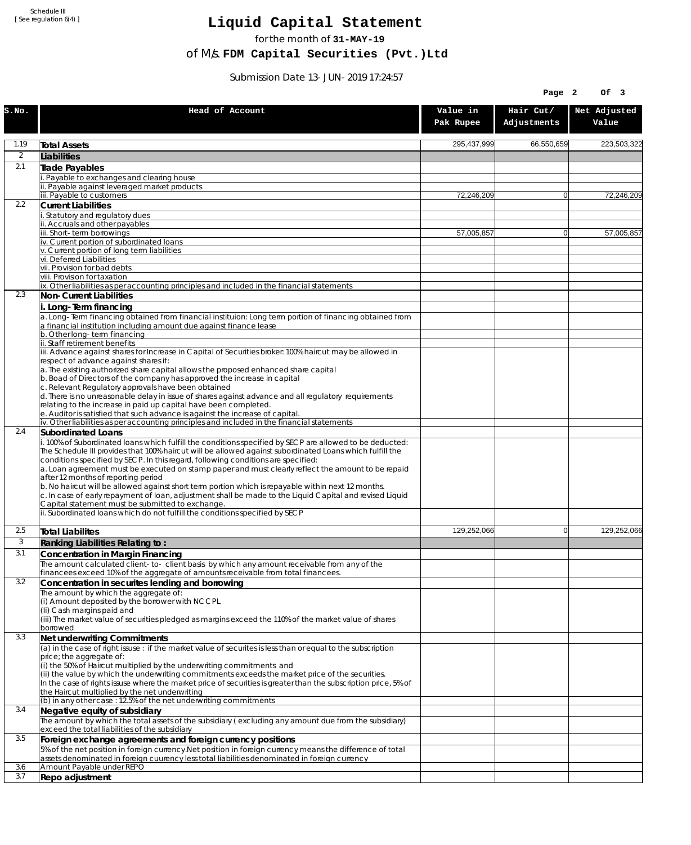Schedule III [ See regulation 6(4) ]

## **Liquid Capital Statement**

for the month of **31-MAY-19**

of M/s. **FDM Capital Securities (Pvt.)Ltd**

Submission Date 13-JUN-2019 17:24:57

|            |                                                                                                                                                                                                                                                                                                                                                                                                                                                                                                                                                                                                                                                                                                                             |                       | Page 2                   | Of 3                  |
|------------|-----------------------------------------------------------------------------------------------------------------------------------------------------------------------------------------------------------------------------------------------------------------------------------------------------------------------------------------------------------------------------------------------------------------------------------------------------------------------------------------------------------------------------------------------------------------------------------------------------------------------------------------------------------------------------------------------------------------------------|-----------------------|--------------------------|-----------------------|
| S.NO.      | Head of Account                                                                                                                                                                                                                                                                                                                                                                                                                                                                                                                                                                                                                                                                                                             | Value in<br>Pak Rupee | Hair Cut/<br>Adjustments | Net Adjusted<br>Value |
| 1.19       | <b>Total Assets</b>                                                                                                                                                                                                                                                                                                                                                                                                                                                                                                                                                                                                                                                                                                         | 295,437,999           | 66,550,659               | 223,503,322           |
| 2          | Liabilities                                                                                                                                                                                                                                                                                                                                                                                                                                                                                                                                                                                                                                                                                                                 |                       |                          |                       |
| 2.1        | Trade Payables                                                                                                                                                                                                                                                                                                                                                                                                                                                                                                                                                                                                                                                                                                              |                       |                          |                       |
|            | Payable to exchanges and clearing house<br>ii. Payable against leveraged market products                                                                                                                                                                                                                                                                                                                                                                                                                                                                                                                                                                                                                                    |                       |                          |                       |
|            | iii. Payable to customers                                                                                                                                                                                                                                                                                                                                                                                                                                                                                                                                                                                                                                                                                                   | 72,246,209            | $\Omega$                 | 72,246,209            |
| 2.2        | <b>Current Liabilities</b>                                                                                                                                                                                                                                                                                                                                                                                                                                                                                                                                                                                                                                                                                                  |                       |                          |                       |
|            | . Statutory and regulatory dues<br>ii. Accruals and other payables                                                                                                                                                                                                                                                                                                                                                                                                                                                                                                                                                                                                                                                          |                       |                          |                       |
|            | iii. Short-term borrowings                                                                                                                                                                                                                                                                                                                                                                                                                                                                                                                                                                                                                                                                                                  | 57,005,857            | $\overline{0}$           | 57,005,857            |
|            | iv. Current portion of subordinated loans                                                                                                                                                                                                                                                                                                                                                                                                                                                                                                                                                                                                                                                                                   |                       |                          |                       |
|            | v. Current portion of long term liabilities<br>vi. Deferred Liabilities                                                                                                                                                                                                                                                                                                                                                                                                                                                                                                                                                                                                                                                     |                       |                          |                       |
|            | vii. Provision for bad debts                                                                                                                                                                                                                                                                                                                                                                                                                                                                                                                                                                                                                                                                                                |                       |                          |                       |
|            | viii. Provision for taxation<br>ix. Other liabilities as per accounting principles and included in the financial statements                                                                                                                                                                                                                                                                                                                                                                                                                                                                                                                                                                                                 |                       |                          |                       |
| 2.3        | Non-Current Liabilities                                                                                                                                                                                                                                                                                                                                                                                                                                                                                                                                                                                                                                                                                                     |                       |                          |                       |
|            | i. Long-Term financing                                                                                                                                                                                                                                                                                                                                                                                                                                                                                                                                                                                                                                                                                                      |                       |                          |                       |
|            | a. Long-Term financing obtained from financial instituion: Long term portion of financing obtained from<br>a financial institution including amount due against finance lease                                                                                                                                                                                                                                                                                                                                                                                                                                                                                                                                               |                       |                          |                       |
|            | b. Other long-term financing<br>ii. Staff retirement benefits                                                                                                                                                                                                                                                                                                                                                                                                                                                                                                                                                                                                                                                               |                       |                          |                       |
|            | iii. Advance against shares for Increase in Capital of Securities broker: 100% haircut may be allowed in                                                                                                                                                                                                                                                                                                                                                                                                                                                                                                                                                                                                                    |                       |                          |                       |
|            | respect of advance against shares if:                                                                                                                                                                                                                                                                                                                                                                                                                                                                                                                                                                                                                                                                                       |                       |                          |                       |
|            | a. The existing authorized share capital allows the proposed enhanced share capital<br>b. Boad of Directors of the company has approved the increase in capital                                                                                                                                                                                                                                                                                                                                                                                                                                                                                                                                                             |                       |                          |                       |
|            | c. Relevant Regulatory approvals have been obtained                                                                                                                                                                                                                                                                                                                                                                                                                                                                                                                                                                                                                                                                         |                       |                          |                       |
|            | d. There is no unreasonable delay in issue of shares against advance and all regulatory requirements<br>relating to the increase in paid up capital have been completed.                                                                                                                                                                                                                                                                                                                                                                                                                                                                                                                                                    |                       |                          |                       |
|            | e. Auditor is satisfied that such advance is against the increase of capital.<br>iv. Other liabilities as per accounting principles and included in the financial statements                                                                                                                                                                                                                                                                                                                                                                                                                                                                                                                                                |                       |                          |                       |
| 2.4        | Subordinated Loans                                                                                                                                                                                                                                                                                                                                                                                                                                                                                                                                                                                                                                                                                                          |                       |                          |                       |
|            | . 100% of Subordinated loans which fulfill the conditions specified by SECP are allowed to be deducted:<br>The Schedule III provides that 100% haircut will be allowed against subordinated Loans which fulfill the<br>conditions specified by SECP. In this regard, following conditions are specified:<br>a. Loan agreement must be executed on stamp paper and must clearly reflect the amount to be repaid<br>after 12 months of reporting period<br>b. No haircut will be allowed against short term portion which is repayable within next 12 months.<br>c. In case of early repayment of loan, adjustment shall be made to the Liquid Capital and revised Liquid<br>Capital statement must be submitted to exchange. |                       |                          |                       |
|            | ii. Subordinated loans which do not fulfill the conditions specified by SECP                                                                                                                                                                                                                                                                                                                                                                                                                                                                                                                                                                                                                                                |                       |                          |                       |
| 2.5        | <b>Total Liabilites</b>                                                                                                                                                                                                                                                                                                                                                                                                                                                                                                                                                                                                                                                                                                     | 129.252.066           | $\Omega$                 | 129,252,066           |
| 3          | Ranking Liabilities Relating to:                                                                                                                                                                                                                                                                                                                                                                                                                                                                                                                                                                                                                                                                                            |                       |                          |                       |
| 3.1        | Concentration in Margin Financing                                                                                                                                                                                                                                                                                                                                                                                                                                                                                                                                                                                                                                                                                           |                       |                          |                       |
|            | The amount calculated client-to- client basis by which any amount receivable from any of the<br>financees exceed 10% of the aggregate of amounts receivable from total financees.                                                                                                                                                                                                                                                                                                                                                                                                                                                                                                                                           |                       |                          |                       |
| 3.2        | Concentration in securites lending and borrowing                                                                                                                                                                                                                                                                                                                                                                                                                                                                                                                                                                                                                                                                            |                       |                          |                       |
|            | The amount by which the aggregate of:                                                                                                                                                                                                                                                                                                                                                                                                                                                                                                                                                                                                                                                                                       |                       |                          |                       |
|            | (i) Amount deposited by the borrower with NCCPL<br>(Ii) Cash margins paid and                                                                                                                                                                                                                                                                                                                                                                                                                                                                                                                                                                                                                                               |                       |                          |                       |
|            | (iii) The market value of securities pledged as margins exceed the 110% of the market value of shares                                                                                                                                                                                                                                                                                                                                                                                                                                                                                                                                                                                                                       |                       |                          |                       |
| 3.3        | borrowed<br>Net underwriting Commitments                                                                                                                                                                                                                                                                                                                                                                                                                                                                                                                                                                                                                                                                                    |                       |                          |                       |
|            | (a) in the case of right issuse : if the market value of securites is less than or equal to the subscription                                                                                                                                                                                                                                                                                                                                                                                                                                                                                                                                                                                                                |                       |                          |                       |
|            | price; the aggregate of:                                                                                                                                                                                                                                                                                                                                                                                                                                                                                                                                                                                                                                                                                                    |                       |                          |                       |
|            | (i) the 50% of Haircut multiplied by the underwriting commitments and<br>(ii) the value by which the underwriting commitments exceeds the market price of the securities.                                                                                                                                                                                                                                                                                                                                                                                                                                                                                                                                                   |                       |                          |                       |
|            | In the case of rights issuse where the market price of securities is greater than the subscription price, 5% of                                                                                                                                                                                                                                                                                                                                                                                                                                                                                                                                                                                                             |                       |                          |                       |
|            | the Haircut multiplied by the net underwriting<br>(b) in any other case : 12.5% of the net underwriting commitments                                                                                                                                                                                                                                                                                                                                                                                                                                                                                                                                                                                                         |                       |                          |                       |
| 3.4        | Negative equity of subsidiary                                                                                                                                                                                                                                                                                                                                                                                                                                                                                                                                                                                                                                                                                               |                       |                          |                       |
|            | The amount by which the total assets of the subsidiary (excluding any amount due from the subsidiary)<br>exceed the total liabilities of the subsidiary                                                                                                                                                                                                                                                                                                                                                                                                                                                                                                                                                                     |                       |                          |                       |
| 3.5        | Foreign exchange agreements and foreign currency positions                                                                                                                                                                                                                                                                                                                                                                                                                                                                                                                                                                                                                                                                  |                       |                          |                       |
|            | 5% of the net position in foreign currency. Net position in foreign currency means the difference of total<br>assets denominated in foreign cuurency less total liabilities denominated in foreign currency                                                                                                                                                                                                                                                                                                                                                                                                                                                                                                                 |                       |                          |                       |
| 3.6<br>3.7 | Amount Payable under REPO<br>Repo adjustment                                                                                                                                                                                                                                                                                                                                                                                                                                                                                                                                                                                                                                                                                |                       |                          |                       |
|            |                                                                                                                                                                                                                                                                                                                                                                                                                                                                                                                                                                                                                                                                                                                             |                       |                          |                       |